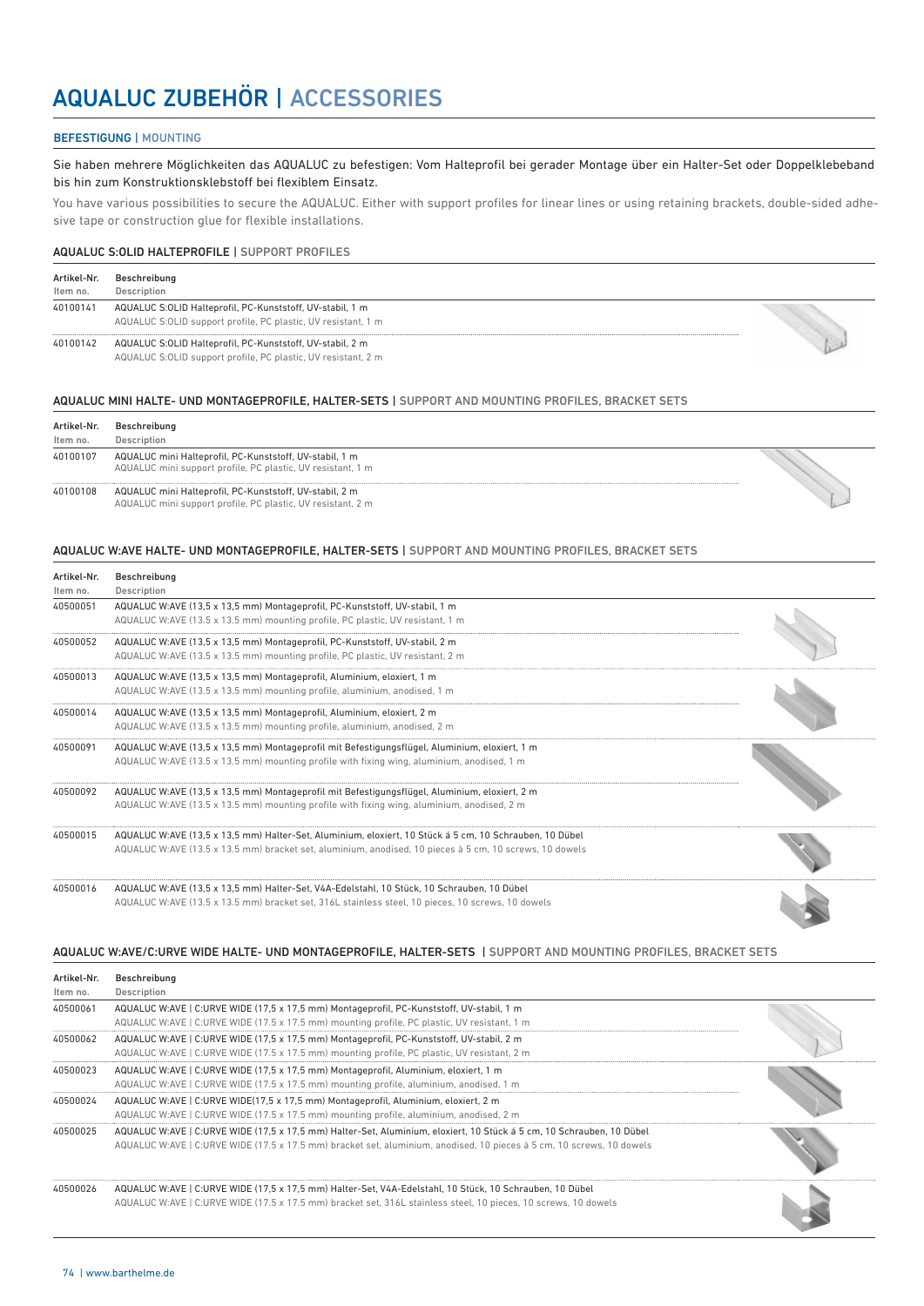## AQUALUC ZUBEHÖR | ACCESSORIES

## BEFESTIGUNG | MOUNTING

Sie haben mehrere Möglichkeiten das AQUALUC zu befestigen: Vom Halteprofil bei gerader Montage über ein Halter-Set oder Doppelklebeband bis hin zum Konstruktionsklebstoff bei flexiblem Einsatz.

You have various possibilities to secure the AQUALUC. Either with support profiles for linear lines or using retaining brackets, double-sided adhesive tape or construction glue for flexible installations.

#### AQUALUC S:OLID HALTEPROFILE | SUPPORT PROFILES

| Artikel-Nr. | Beschreibung                                                                                                               |  |
|-------------|----------------------------------------------------------------------------------------------------------------------------|--|
| Item no.    | Description                                                                                                                |  |
| 40100141    | AQUALUC S:OLID Halteprofil, PC-Kunststoff, UV-stabil, 1 m<br>AQUALUC S:OLID support profile, PC plastic, UV resistant, 1 m |  |
| 40100142    | AQUALUC S:OLID Halteprofil, PC-Kunststoff, UV-stabil, 2 m<br>AQUALUC S:OLID support profile, PC plastic, UV resistant, 2 m |  |

#### AQUALUC MINI HALTE- UND MONTAGEPROFILE, HALTER-SETS | SUPPORT AND MOUNTING PROFILES, BRACKET SETS

| Artikel-Nr. | Beschreibung                                                                                                           |  |
|-------------|------------------------------------------------------------------------------------------------------------------------|--|
| Item no.    | Description                                                                                                            |  |
| 40100107    | AQUALUC mini Halteprofil, PC-Kunststoff, UV-stabil, 1 m<br>AQUALUC mini support profile, PC plastic, UV resistant, 1 m |  |
| 40100108    | AQUALUC mini Halteprofil, PC-Kunststoff, UV-stabil, 2 m<br>AQUALUC mini support profile, PC plastic, UV resistant, 2 m |  |

#### AQUALUC W:AVE HALTE- UND MONTAGEPROFILE, HALTER-SETS | SUPPORT AND MOUNTING PROFILES, BRACKET SETS

| Artikel-Nr.<br>Item no. | Beschreibung<br>Description                                                                                                                                                                                        |  |
|-------------------------|--------------------------------------------------------------------------------------------------------------------------------------------------------------------------------------------------------------------|--|
| 40500051                | AQUALUC W:AVE (13,5 x 13,5 mm) Montageprofil, PC-Kunststoff, UV-stabil, 1 m<br>AQUALUC W:AVE (13.5 x 13.5 mm) mounting profile, PC plastic, UV resistant, 1 m                                                      |  |
| 40500052                | AQUALUC W:AVE (13,5 x 13,5 mm) Montageprofil, PC-Kunststoff, UV-stabil, 2 m<br>AQUALUC W:AVE (13.5 x 13.5 mm) mounting profile, PC plastic, UV resistant, 2 m                                                      |  |
| 40500013                | AQUALUC W:AVE (13,5 x 13,5 mm) Montageprofil, Aluminium, eloxiert, 1 m<br>AQUALUC W:AVE (13.5 x 13.5 mm) mounting profile, aluminium, anodised, 1 m                                                                |  |
| 40500014                | AQUALUC W:AVE (13,5 x 13,5 mm) Montageprofil, Aluminium, eloxiert, 2 m<br>AQUALUC W:AVE (13.5 x 13.5 mm) mounting profile, aluminium, anodised, 2 m                                                                |  |
| 40500091                | AQUALUC W:AVE (13,5 x 13,5 mm) Montageprofil mit Befestigungsflügel, Aluminium, eloxiert, 1 m<br>AQUALUC W:AVE $(13.5 \times 13.5 \text{ mm})$ mounting profile with fixing wing, aluminium, anodised, 1 m         |  |
| 40500092                | AQUALUC W:AVE (13,5 x 13,5 mm) Montageprofil mit Befestigungsflügel, Aluminium, eloxiert, 2 m<br>AQUALUC W:AVE $(13.5 \times 13.5 \text{ mm})$ mounting profile with fixing wing, aluminium, anodised, 2 m         |  |
| 40500015                | AQUALUC W:AVE (13,5 x 13,5 mm) Halter-Set, Aluminium, eloxiert, 10 Stück á 5 cm, 10 Schrauben, 10 Dübel<br>AQUALUC W:AVE (13.5 x 13.5 mm) bracket set, aluminium, anodised, 10 pieces à 5 cm, 10 screws, 10 dowels |  |
| 40500016                | AQUALUC W:AVE (13,5 x 13,5 mm) Halter-Set, V4A-Edelstahl, 10 Stück, 10 Schrauben, 10 Dübel<br>AQUALUC W:AVE (13.5 x 13.5 mm) bracket set, 316L stainless steel, 10 pieces, 10 screws, 10 dowels                    |  |

AQUALUC W:AVE/C:URVE WIDE HALTE- UND MONTAGEPROFILE, HALTER-SETS | SUPPORT AND MOUNTING PROFILES, BRACKET SETS

| Artikel-Nr.<br>Item no. | Beschreibung<br>Description                                                                                                                                                                                                                    |  |
|-------------------------|------------------------------------------------------------------------------------------------------------------------------------------------------------------------------------------------------------------------------------------------|--|
| 40500061                | AQUALUC W:AVE   C:URVE WIDE (17,5 x 17,5 mm) Montageprofil, PC-Kunststoff, UV-stabil, 1 m<br>AQUALUC W:AVE   C:URVE WIDE (17.5 x 17.5 mm) mounting profile, PC plastic, UV resistant, 1 m                                                      |  |
| 40500062                | AQUALUC W:AVE   C:URVE WIDE (17,5 x 17,5 mm) Montageprofil, PC-Kunststoff, UV-stabil, 2 m<br>AQUALUC W:AVE   C:URVE WIDE (17.5 x 17.5 mm) mounting profile, PC plastic, UV resistant, 2 m                                                      |  |
| 40500023                | AQUALUC W:AVE   C:URVE WIDE (17,5 x 17,5 mm) Montageprofil, Aluminium, eloxiert, 1 m<br>AQUALUC W:AVE   C:URVE WIDE (17.5 x 17.5 mm) mounting profile, aluminium, anodised, 1 m                                                                |  |
| 40500024                | AQUALUC W:AVE   C:URVE WIDE(17,5 x 17,5 mm) Montageprofil, Aluminium, eloxiert, 2 m<br>AQUALUC W:AVE   C:URVE WIDE (17.5 x 17.5 mm) mounting profile, aluminium, anodised, 2 m                                                                 |  |
| 40500025                | AQUALUC W:AVE   C:URVE WIDE (17,5 x 17,5 mm) Halter-Set, Aluminium, eloxiert, 10 Stück á 5 cm, 10 Schrauben, 10 Dübel<br>AQUALUC W:AVE   C:URVE WIDE (17.5 x 17.5 mm) bracket set, aluminium, anodised, 10 pieces à 5 cm, 10 screws, 10 dowels |  |
| 40500026                | AQUALUC W:AVE   C:URVE WIDE (17,5 x 17,5 mm) Halter-Set, V4A-Edelstahl, 10 Stück, 10 Schrauben, 10 Dübel<br>AQUALUC W:AVE   C:URVE WIDE (17.5 x 17.5 mm) bracket set, 316L stainless steel, 10 pieces, 10 screws, 10 dowels                    |  |